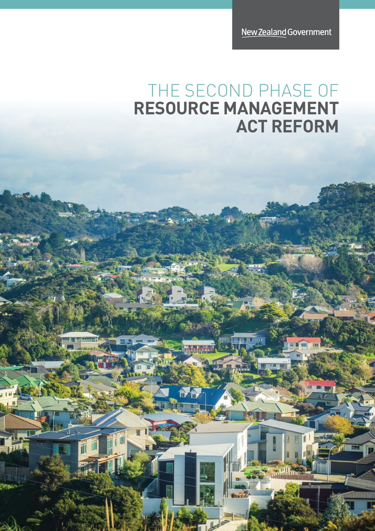New Zealand Government

E

ganiliumuutuu

GW I

**JAWA Time** 

### THE SECOND PHASE OF **RESOURCE MANAGEMENT ACT REFORM**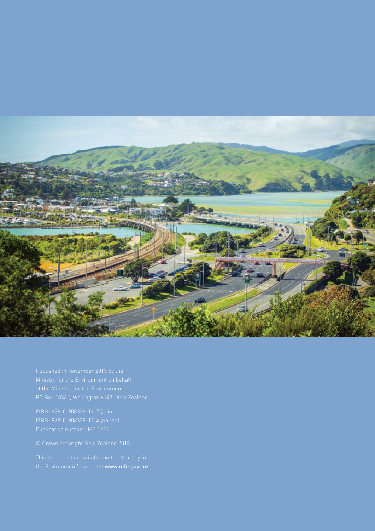

the Environment's website: [www.mfe.govt.nz](file:///C:\Users\stirlingl\AppData\Local\Microsoft\Windows\Temporary Internet Files\Content.Outlook\Q03AML9A\www.mfe.govt.nz).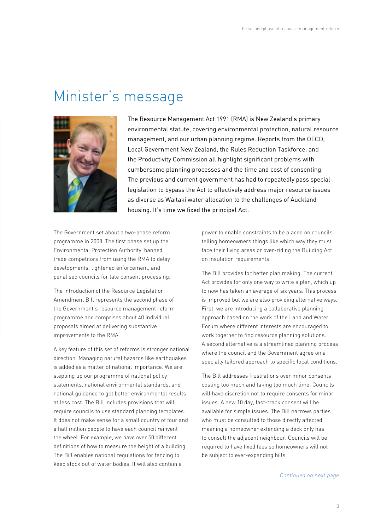#### Minister's message



The Resource Management Act 1991 (RMA) is New Zealand's primary environmental statute, covering environmental protection, natural resource management, and our urban planning regime. Reports from the OECD, Local Government New Zealand, the Rules Reduction Taskforce, and the Productivity Commission all highlight significant problems with cumbersome planning processes and the time and cost of consenting. The previous and current government has had to repeatedly pass special legislation to bypass the Act to effectively address major resource issues as diverse as Waitaki water allocation to the challenges of Auckland housing. It's time we fixed the principal Act.

The Government set about a two-phase reform programme in 2008. The first phase set up the Environmental Protection Authority, banned trade competitors from using the RMA to delay developments, tightened enforcement, and penalised councils for late consent processing.

The introduction of the Resource Legislation Amendment Bill represents the second phase of the Government's resource management reform programme and comprises about 40 individual proposals aimed at delivering substantive improvements to the RMA.

A key feature of this set of reforms is stronger national direction. Managing natural hazards like earthquakes is added as a matter of national importance. We are stepping up our programme of national policy statements, national environmental standards, and national guidance to get better environmental results at less cost. The Bill includes provisions that will require councils to use standard planning templates. It does not make sense for a small country of four and a half million people to have each council reinvent the wheel. For example, we have over 50 different definitions of how to measure the height of a building. The Bill enables national regulations for fencing to keep stock out of water bodies. It will also contain a

power to enable constraints to be placed on councils' telling homeowners things like which way they must face their living areas or over-riding the Building Act on insulation requirements.

The Bill provides for better plan making. The current Act provides for only one way to write a plan, which up to now has taken an average of six years. This process is improved but we are also providing alternative ways. First, we are introducing a collaborative planning approach based on the work of the Land and Water Forum where different interests are encouraged to work together to find resource planning solutions. A second alternative is a streamlined planning process where the council and the Government agree on a specially tailored approach to specific local conditions.

The Bill addresses frustrations over minor consents costing too much and taking too much time. Councils will have discretion not to require consents for minor issues. A new 10 day, fast-track consent will be available for simple issues. The Bill narrows parties who must be consulted to those directly affected, meaning a homeowner extending a deck only has to consult the adjacent neighbour. Councils will be required to have fixed fees so homeowners will not be subject to ever-expanding bills.

*Continued on next page*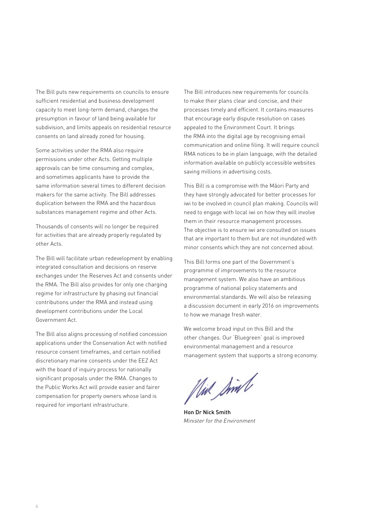The Bill puts new requirements on councils to ensure sufficient residential and business development capacity to meet long-term demand, changes the presumption in favour of land being available for subdivision, and limits appeals on residential resource consents on land already zoned for housing.

Some activities under the RMA also require permissions under other Acts. Getting multiple approvals can be time consuming and complex, and sometimes applicants have to provide the same information several times to different decision makers for the same activity. The Bill addresses duplication between the RMA and the hazardous substances management regime and other Acts.

Thousands of consents will no longer be required for activities that are already properly regulated by other Acts.

The Bill will facilitate urban redevelopment by enabling integrated consultation and decisions on reserve exchanges under the Reserves Act and consents under the RMA. The Bill also provides for only one charging regime for infrastructure by phasing out financial contributions under the RMA and instead using development contributions under the Local Government Act.

The Bill also aligns processing of notified concession applications under the Conservation Act with notified resource consent timeframes, and certain notified discretionary marine consents under the EEZ Act with the board of inquiry process for nationally significant proposals under the RMA. Changes to the Public Works Act will provide easier and fairer compensation for property owners whose land is required for important infrastructure.

The Bill introduces new requirements for councils to make their plans clear and concise, and their processes timely and efficient. It contains measures that encourage early dispute resolution on cases appealed to the Environment Court. It brings the RMA into the digital age by recognising email communication and online filing. It will require council RMA notices to be in plain language, with the detailed information available on publicly accessible websites saving millions in advertising costs.

This Bill is a compromise with the Mäori Party and they have strongly advocated for better processes for iwi to be involved in council plan making. Councils will need to engage with local iwi on how they will involve them in their resource management processes. The objective is to ensure iwi are consulted on issues that are important to them but are not inundated with minor consents which they are not concerned about.

This Bill forms one part of the Government's programme of improvements to the resource management system. We also have an ambitious programme of national policy statements and environmental standards. We will also be releasing a discussion document in early 2016 on improvements to how we manage fresh water.

We welcome broad input on this Bill and the other changes. Our 'Bluegreen' goal is improved environmental management and a resource management system that supports a strong economy.

flux Simb

Hon Dr Nick Smith *Minister for the Environment*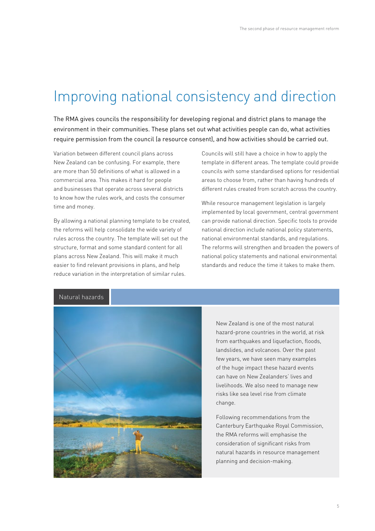#### Improving national consistency and direction

The RMA gives councils the responsibility for developing regional and district plans to manage the environment in their communities. These plans set out what activities people can do, what activities require permission from the council (a resource consent), and how activities should be carried out.

Variation between different council plans across New Zealand can be confusing. For example, there are more than 50 definitions of what is allowed in a commercial area. This makes it hard for people and businesses that operate across several districts to know how the rules work, and costs the consumer time and money.

By allowing a national planning template to be created, the reforms will help consolidate the wide variety of rules across the country. The template will set out the structure, format and some standard content for all plans across New Zealand. This will make it much easier to find relevant provisions in plans, and help reduce variation in the interpretation of similar rules.

Councils will still have a choice in how to apply the template in different areas. The template could provide councils with some standardised options for residential areas to choose from, rather than having hundreds of different rules created from scratch across the country.

While resource management legislation is largely implemented by local government, central government can provide national direction. Specific tools to provide national direction include national policy statements, national environmental standards, and regulations. The reforms will strengthen and broaden the powers of national policy statements and national environmental standards and reduce the time it takes to make them.

#### Natural hazards



New Zealand is one of the most natural hazard-prone countries in the world, at risk from earthquakes and liquefaction, floods, landslides, and volcanoes. Over the past few years, we have seen many examples of the huge impact these hazard events can have on New Zealanders' lives and livelihoods. We also need to manage new risks like sea level rise from climate change.

Following recommendations from the Canterbury Earthquake Royal Commission, the RMA reforms will emphasise the consideration of significant risks from natural hazards in resource management planning and decision-making.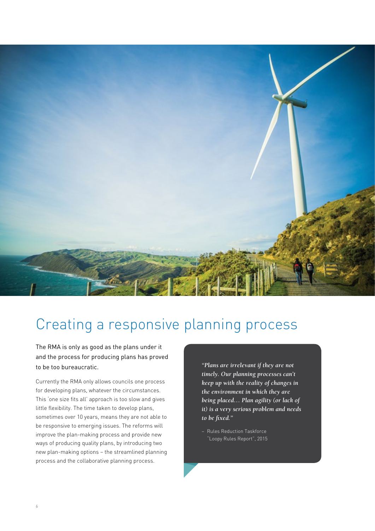

## Creating a responsive planning process

The RMA is only as good as the plans under it and the process for producing plans has proved to be too bureaucratic.

Currently the RMA only allows councils one process for developing plans, whatever the circumstances. This 'one size fits all' approach is too slow and gives little flexibility. The time taken to develop plans, sometimes over 10 years, means they are not able to be responsive to emerging issues. The reforms will improve the plan-making process and provide new ways of producing quality plans, by introducing two new plan-making options – the streamlined planning process and the collaborative planning process.

*"Plans are irrelevant if they are not timely. Our planning processes can't keep up with the reality of changes in the environment in which they are being placed… Plan agility (or lack of it) is a very serious problem and needs to be fixed."*

− Rules Reduction Taskforce "Loopy Rules Report", 2015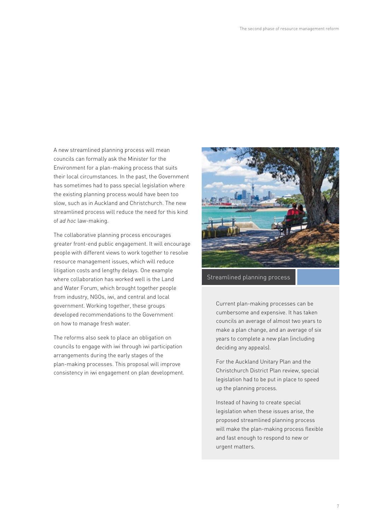A new streamlined planning process will mean councils can formally ask the Minister for the Environment for a plan-making process that suits their local circumstances. In the past, the Government has sometimes had to pass special legislation where the existing planning process would have been too slow, such as in Auckland and Christchurch. The new streamlined process will reduce the need for this kind of *ad hoc* law-making.

The collaborative planning process encourages greater front-end public engagement. It will encourage people with different views to work together to resolve resource management issues, which will reduce litigation costs and lengthy delays. One example where collaboration has worked well is the Land and Water Forum, which brought together people from industry, NGOs, iwi, and central and local government. Working together, these groups developed recommendations to the Government on how to manage fresh water.

The reforms also seek to place an obligation on councils to engage with iwi through iwi participation arrangements during the early stages of the plan-making processes. This proposal will improve consistency in iwi engagement on plan development.



Streamlined planning process

Current plan-making processes can be cumbersome and expensive. It has taken councils an average of almost two years to make a plan change, and an average of six years to complete a new plan (including deciding any appeals).

For the Auckland Unitary Plan and the Christchurch District Plan review, special legislation had to be put in place to speed up the planning process.

Instead of having to create special legislation when these issues arise, the proposed streamlined planning process will make the plan-making process flexible and fast enough to respond to new or urgent matters.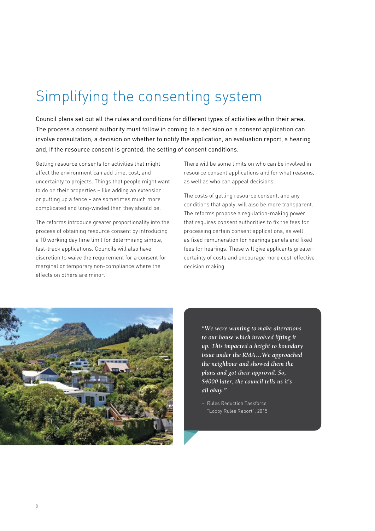# Simplifying the consenting system

Council plans set out all the rules and conditions for different types of activities within their area. The process a consent authority must follow in coming to a decision on a consent application can involve consultation, a decision on whether to notify the application, an evaluation report, a hearing and, if the resource consent is granted, the setting of consent conditions.

Getting resource consents for activities that might affect the environment can add time, cost, and uncertainty to projects. Things that people might want to do on their properties – like adding an extension or putting up a fence – are sometimes much more complicated and long-winded than they should be.

The reforms introduce greater proportionality into the process of obtaining resource consent by introducing a 10 working day time limit for determining simple, fast-track applications. Councils will also have discretion to waive the requirement for a consent for marginal or temporary non-compliance where the effects on others are minor.

There will be some limits on who can be involved in resource consent applications and for what reasons, as well as who can appeal decisions.

The costs of getting resource consent, and any conditions that apply, will also be more transparent. The reforms propose a regulation-making power that requires consent authorities to fix the fees for processing certain consent applications, as well as fixed remuneration for hearings panels and fixed fees for hearings. These will give applicants greater certainty of costs and encourage more cost-effective decision making.



*"We were wanting to make alterations to our house which involved lifting it up. This impacted a height to boundary issue under the RMA…We approached the neighbour and showed them the plans and got their approval. So, \$4000 later, the council tells us it's all okay."*

− Rules Reduction Taskforce "Loopy Rules Report", 2015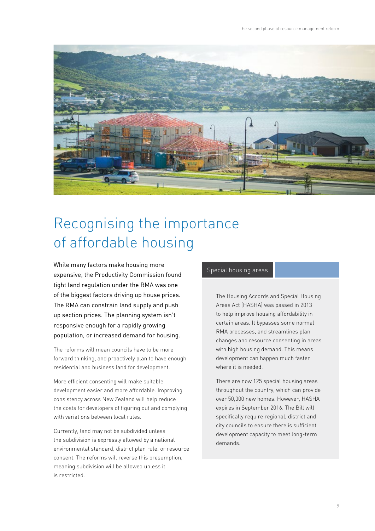

# Recognising the importance of affordable housing

While many factors make housing more expensive, the Productivity Commission found tight land regulation under the RMA was one of the biggest factors driving up house prices. The RMA can constrain land supply and push up section prices. The planning system isn't responsive enough for a rapidly growing population, or increased demand for housing.

The reforms will mean councils have to be more forward thinking, and proactively plan to have enough residential and business land for development.

More efficient consenting will make suitable development easier and more affordable. Improving consistency across New Zealand will help reduce the costs for developers of figuring out and complying with variations between local rules.

Currently, land may not be subdivided unless the subdivision is expressly allowed by a national environmental standard, district plan rule, or resource consent. The reforms will reverse this presumption, meaning subdivision will be allowed unless it is restricted.

#### Special housing areas

The Housing Accords and Special Housing Areas Act (HASHA) was passed in 2013 to help improve housing affordability in certain areas. It bypasses some normal RMA processes, and streamlines plan changes and resource consenting in areas with high housing demand. This means development can happen much faster where it is needed.

There are now 125 special housing areas throughout the country, which can provide over 50,000 new homes. However, HASHA expires in September 2016. The Bill will specifically require regional, district and city councils to ensure there is sufficient development capacity to meet long-term demands.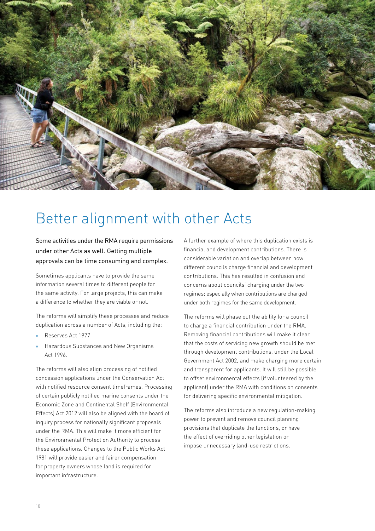

### Better alignment with other Acts

Some activities under the RMA require permissions under other Acts as well. Getting multiple approvals can be time consuming and complex.

Sometimes applicants have to provide the same information several times to different people for the same activity. For large projects, this can make a difference to whether they are viable or not.

The reforms will simplify these processes and reduce duplication across a number of Acts, including the:

- » Reserves Act 1977
- » Hazardous Substances and New Organisms Act 1996.

The reforms will also align processing of notified concession applications under the Conservation Act with notified resource consent timeframes. Processing of certain publicly notified marine consents under the Economic Zone and Continental Shelf (Environmental Effects) Act 2012 will also be aligned with the board of inquiry process for nationally significant proposals under the RMA. This will make it more efficient for the Environmental Protection Authority to process these applications. Changes to the Public Works Act 1981 will provide easier and fairer compensation for property owners whose land is required for important infrastructure.

A further example of where this duplication exists is financial and development contributions. There is considerable variation and overlap between how different councils charge financial and development contributions. This has resulted in confusion and concerns about councils' charging under the two regimes; especially when contributions are charged under both regimes for the same development.

The reforms will phase out the ability for a council to charge a financial contribution under the RMA. Removing financial contributions will make it clear that the costs of servicing new growth should be met through development contributions, under the Local Government Act 2002, and make charging more certain and transparent for applicants. It will still be possible to offset environmental effects (if volunteered by the applicant) under the RMA with conditions on consents for delivering specific environmental mitigation.

The reforms also introduce a new regulation-making power to prevent and remove council planning provisions that duplicate the functions, or have the effect of overriding other legislation or impose unnecessary land-use restrictions.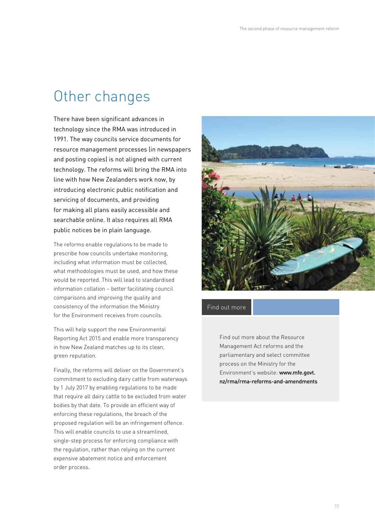#### Other changes

There have been significant advances in technology since the RMA was introduced in 1991. The way councils service documents for resource management processes (in newspapers and posting copies) is not aligned with current technology. The reforms will bring the RMA into line with how New Zealanders work now, by introducing electronic public notification and servicing of documents, and providing for making all plans easily accessible and searchable online. It also requires all RMA public notices be in plain language.

The reforms enable regulations to be made to prescribe how councils undertake monitoring, including what information must be collected, what methodologies must be used, and how these would be reported. This will lead to standardised information collation – better facilitating council comparisons and improving the quality and consistency of the information the Ministry for the Environment receives from councils.

This will help support the new Environmental Reporting Act 2015 and enable more transparency in how New Zealand matches up to its clean, green reputation.

Finally, the reforms will deliver on the Government's commitment to excluding dairy cattle from waterways by 1 July 2017 by enabling regulations to be made that require all dairy cattle to be excluded from water bodies by that date. To provide an efficient way of enforcing these regulations, the breach of the proposed regulation will be an infringement offence. This will enable councils to use a streamlined, single-step process for enforcing compliance with the regulation, rather than relying on the current expensive abatement notice and enforcement order process.



Find out more

Find out more about the Resource Management Act reforms and the parliamentary and select committee process on the Ministry for the Environment's website: [www.mfe.govt.](http://www.mfe.govt.nz/rma/rma-reforms-and-amendments) [nz/rma/rma-reforms-and-amendments](http://www.mfe.govt.nz/rma/rma-reforms-and-amendments)